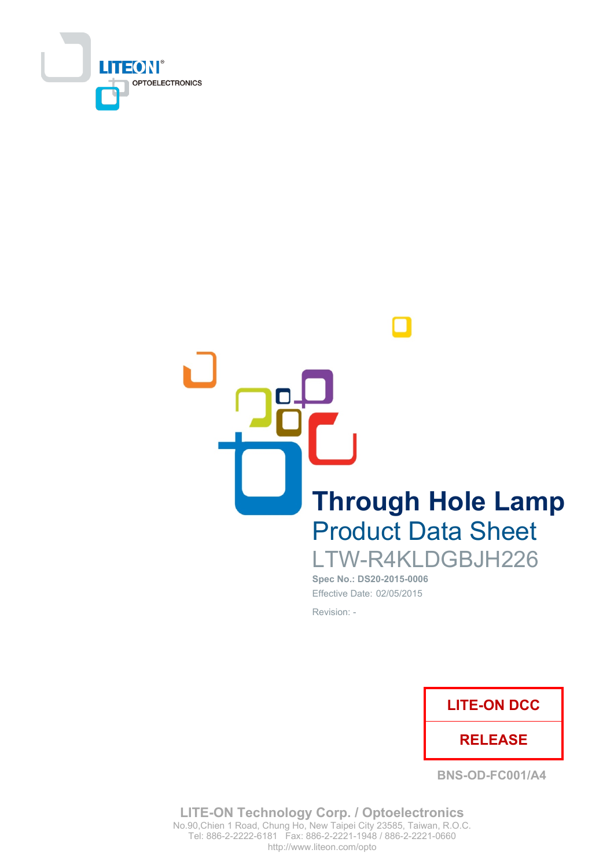

**Through Hole Lamp Product Data Sheet** LTW-R4KLDGBJH226

Spec No.: DS20-2015-0006 Effective Date: 02/05/2015 Revision: -



**BNS-OD-FC001/A4** 

**LITE-ON Technology Corp. / Optoelectronics** No.90, Chien 1 Road, Chung Ho, New Taipei City 23585, Taiwan, R.O.C. Tel: 886-2-2222-6181 Fax: 886-2-2221-1948 / 886-2-2221-0660 http://www.liteon.com/opto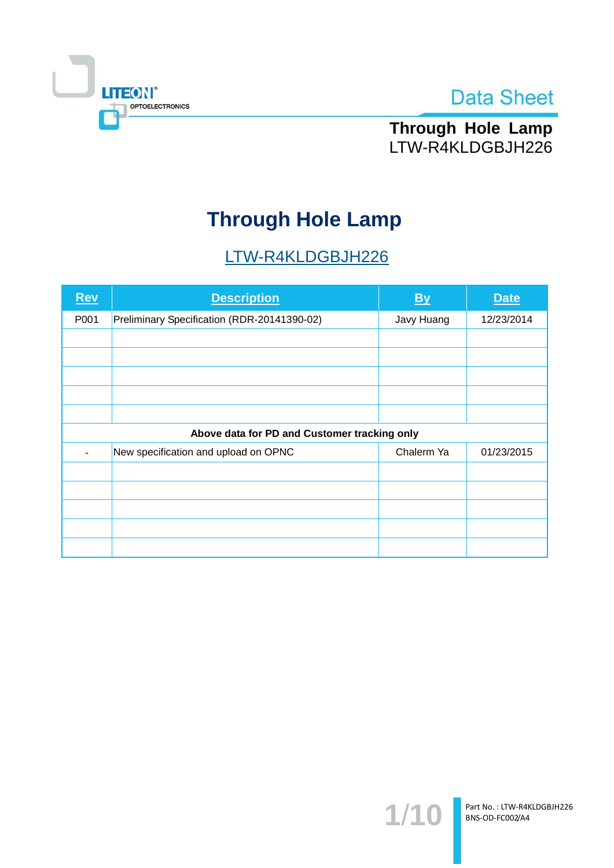



Through Hole Lamp LTW-R4KLDGBJH226

# **Through Hole Lamp**

# LTW-R4KLDGBJH226

| Rev  | <b>Description</b>                           | <b>By</b>  | <b>Date</b> |  |  |  |
|------|----------------------------------------------|------------|-------------|--|--|--|
| P001 | Preliminary Specification (RDR-20141390-02)  | Javy Huang | 12/23/2014  |  |  |  |
|      |                                              |            |             |  |  |  |
|      |                                              |            |             |  |  |  |
|      |                                              |            |             |  |  |  |
|      |                                              |            |             |  |  |  |
|      |                                              |            |             |  |  |  |
|      | Above data for PD and Customer tracking only |            |             |  |  |  |
|      | New specification and upload on OPNC         | Chalerm Ya | 01/23/2015  |  |  |  |
|      |                                              |            |             |  |  |  |
|      |                                              |            |             |  |  |  |
|      |                                              |            |             |  |  |  |
|      |                                              |            |             |  |  |  |
|      |                                              |            |             |  |  |  |

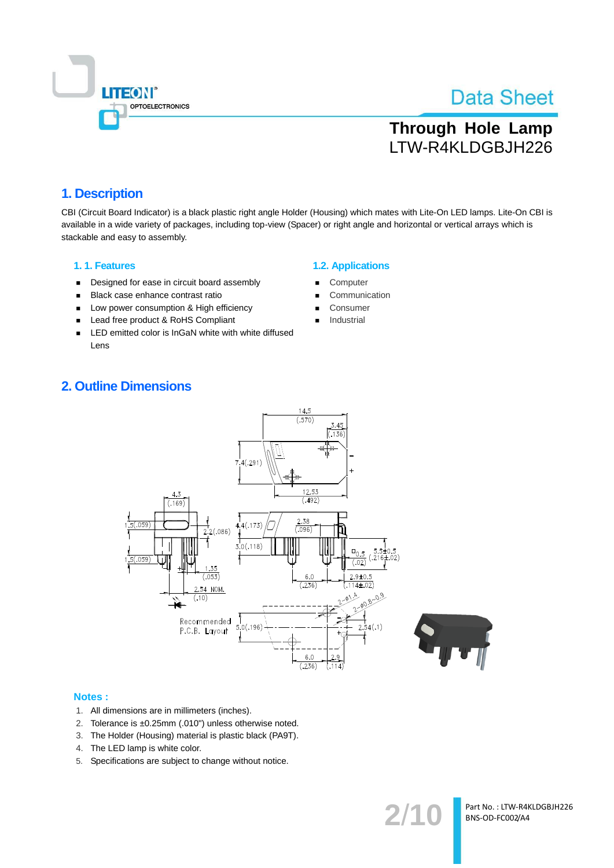

# **Through Hole Lamp** LTW-R4KLDGBJH226

### 1. Description

CBI (Circuit Board Indicator) is a black plastic right angle Holder (Housing) which mates with Lite-On LED lamps. Lite-On CBI is available in a wide variety of packages, including top-view (Spacer) or right angle and horizontal or vertical arrays which is stackable and easy to assembly.

### 1.1. Features

- Designed for ease in circuit board assembly  $\blacksquare$
- Black case enhance contrast ratio  $\blacksquare$
- Low power consumption & High efficiency  $\blacksquare$
- $\blacksquare$ Lead free product & RoHS Compliant
- LED emitted color is InGaN white with white diffused  $\blacksquare$ Lens

### **1.2. Applications**

- Computer
- Communication
- Consumer
- Industrial

### **2. Outline Dimensions**



### Notes:

- 1. All dimensions are in millimeters (inches).
- 2. Tolerance is ±0.25mm (.010") unless otherwise noted.
- 3. The Holder (Housing) material is plastic black (PA9T).
- 4. The LED lamp is white color.
- 5. Specifications are subject to change without notice.

 $2/1$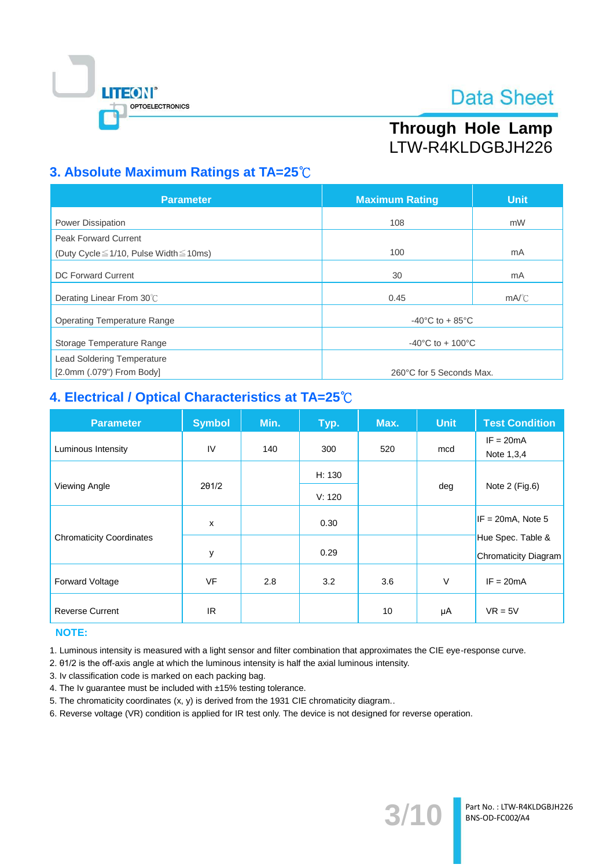

# Through Hole Lamp LTW-R4KLDGBJH226

# 3. Absolute Maximum Ratings at TA=25°C

| <b>Parameter</b>                                  | <b>Maximum Rating</b>                 | <b>Unit</b>    |  |
|---------------------------------------------------|---------------------------------------|----------------|--|
| Power Dissipation                                 | 108                                   | mW             |  |
| <b>Peak Forward Current</b>                       |                                       |                |  |
| (Duty Cycle $\leq$ 1/10, Pulse Width $\leq$ 10ms) | 100                                   | mA             |  |
| <b>DC Forward Current</b>                         | 30                                    | mA             |  |
| Derating Linear From 30°C                         | 0.45                                  | $mA^{\circ}$ C |  |
| <b>Operating Temperature Range</b>                | -40 $^{\circ}$ C to + 85 $^{\circ}$ C |                |  |
| Storage Temperature Range                         | $-40^{\circ}$ C to + 100 $^{\circ}$ C |                |  |
| <b>Lead Soldering Temperature</b>                 |                                       |                |  |
| $[2.0$ mm $(.079")$ From Body]                    | 260°C for 5 Seconds Max.              |                |  |

# 4. Electrical / Optical Characteristics at TA=25°C

| <b>Parameter</b>                | <b>Symbol</b> | Min. | Typ.   | Max. | <b>Unit</b> | <b>Test Condition</b>                            |
|---------------------------------|---------------|------|--------|------|-------------|--------------------------------------------------|
| Luminous Intensity              | IV            | 140  | 300    | 520  | mcd         | $IF = 20mA$<br>Note 1,3,4                        |
|                                 |               |      | H: 130 |      | deg         | Note 2 (Fig.6)                                   |
| Viewing Angle                   | $2\theta$ 1/2 |      | V: 120 |      |             |                                                  |
|                                 | $\mathsf{x}$  |      | 0.30   |      |             | $IF = 20mA$ , Note 5                             |
| <b>Chromaticity Coordinates</b> | у             |      | 0.29   |      |             | Hue Spec. Table &<br><b>Chromaticity Diagram</b> |
| <b>Forward Voltage</b>          | <b>VF</b>     | 2.8  | 3.2    | 3.6  | V           | $IF = 20mA$                                      |
| <b>Reverse Current</b>          | IR.           |      |        | 10   | μA          | $VR = 5V$                                        |

### **NOTE:**

1. Luminous intensity is measured with a light sensor and filter combination that approximates the CIE eye-response curve.

2. 01/2 is the off-axis angle at which the luminous intensity is half the axial luminous intensity.

3. Iv classification code is marked on each packing bag.

4. The Iv guarantee must be included with ±15% testing tolerance.

5. The chromaticity coordinates (x, y) is derived from the 1931 CIE chromaticity diagram..

6. Reverse voltage (VR) condition is applied for IR test only. The device is not designed for reverse operation.

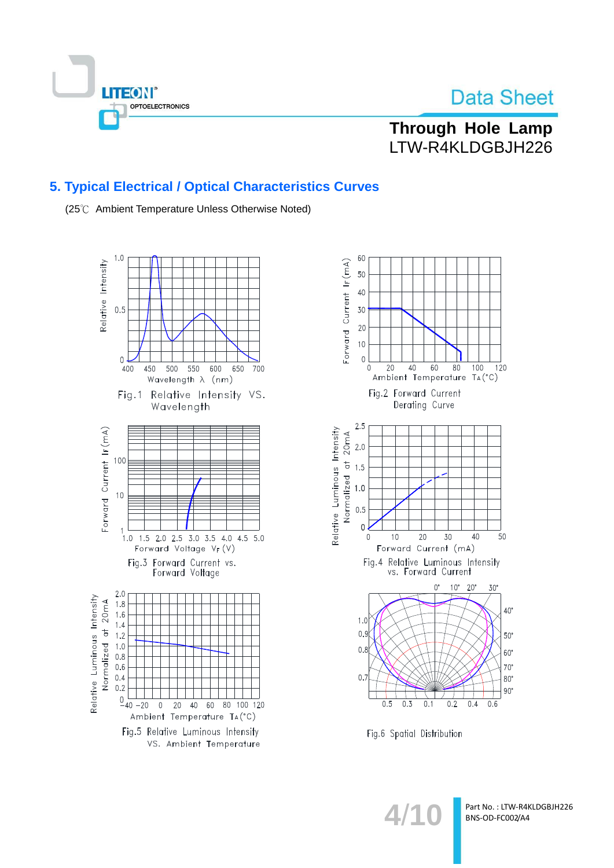

Through Hole Lamp LTW-R4KLDGBJH226

### 5. Typical Electrical / Optical Characteristics Curves

(25℃ Ambient Temperature Unless Otherwise Noted)





Fig.6 Spatial Distribution

 $4/1$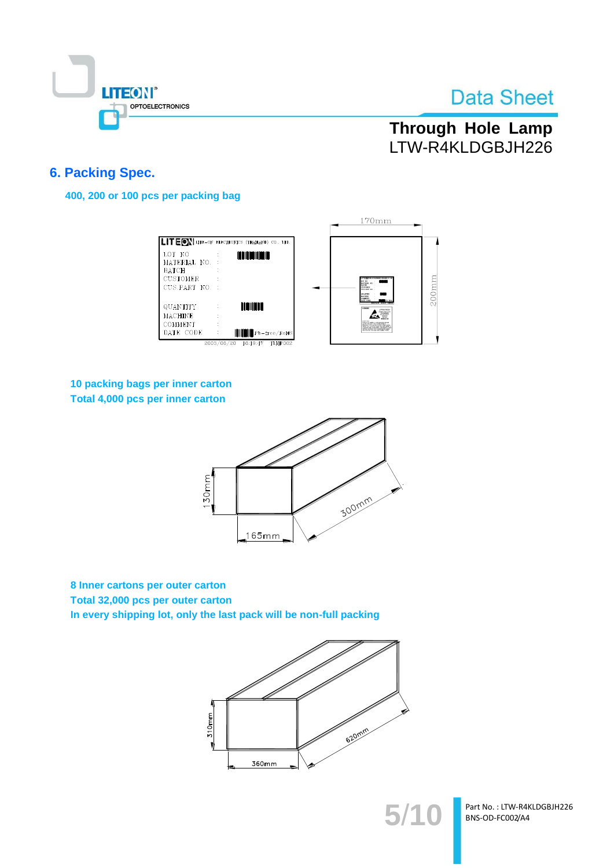

# **Through Hole Lamp** LTW-R4KLDGBJH226

### **6. Packing Spec.**

400, 200 or 100 pcs per packing bag

|                                                                             |                                                               | $170$ mm                                                                                                                                                                                                                                    |
|-----------------------------------------------------------------------------|---------------------------------------------------------------|---------------------------------------------------------------------------------------------------------------------------------------------------------------------------------------------------------------------------------------------|
|                                                                             | <b>ILITEON</b> LITE-ON ELECTRONICS (THAILAND) CO., LTD.       |                                                                                                                                                                                                                                             |
| LOT NO<br>MATERIAL NO.<br><b>BATCH</b><br><b>CUSTOMER</b><br>CUS.PART NO. : | <b>THE REAL PROPERTY</b>                                      | LOT 300<br>MATERIAL RD<br><b>BATCH</b><br><b>COSTERE</b><br><b>CUSPART NO</b><br><b>GETANOFIS</b>                                                                                                                                           |
| QUANTITY<br><b>MACHINE</b>                                                  | DINININ                                                       | MACHINE<br>COMMER<br>LITHDEE<br><b>ATTENTION</b><br><b>CONTRACTOR</b><br>OWNER                                                                                                                                                              |
| COMMENT<br>DATE CODE                                                        | <b>HILL Pb-free/RoHS</b><br>2003/06/20<br>16:19:47<br>TLMP002 | Product of country to spanyour<br>awa ku tatis talam takan katalog Probinty<br>Paticality of the case that as only make at all<br>spiral for conference away any case detay a<br>also declines some appartmentals<br>troub called the lands |

### 10 packing bags per inner carton Total 4,000 pcs per inner carton



8 Inner cartons per outer carton Total 32,000 pcs per outer carton In every shipping lot, only the last pack will be non-full packing



Part No.: LTW-R4KLDGBJH226 BNS-OD-FC002/A4

 $5/1$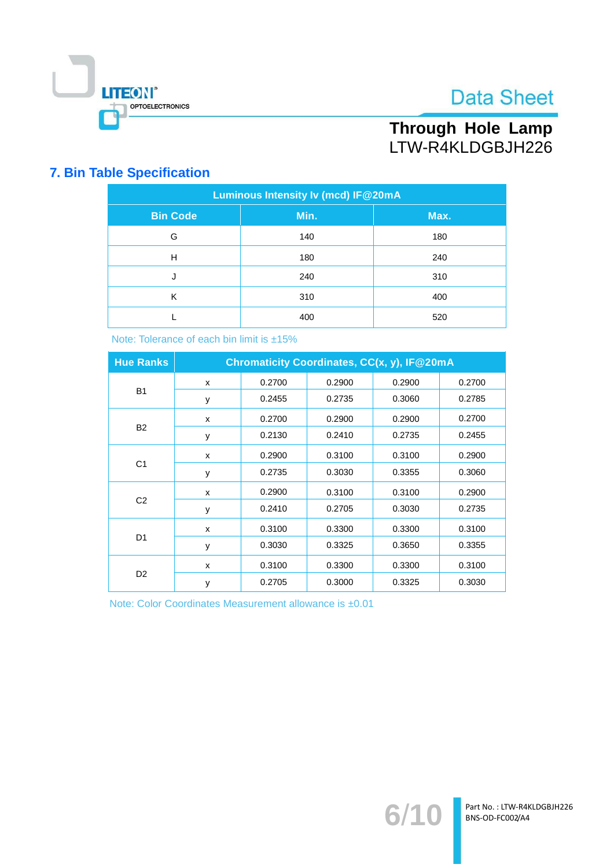

# Through Hole Lamp<br>LTW-R4KLDGBJH226

## **7. Bin Table Specification**

| Luminous Intensity Iv (mcd) IF@20mA |      |      |  |  |  |
|-------------------------------------|------|------|--|--|--|
| <b>Bin Code</b>                     | Min. | Max. |  |  |  |
| G                                   | 140  | 180  |  |  |  |
| H                                   | 180  | 240  |  |  |  |
| J                                   | 240  | 310  |  |  |  |
| К                                   | 310  | 400  |  |  |  |
|                                     | 400  | 520  |  |  |  |

Note: Tolerance of each bin limit is ±15%

| <b>Hue Ranks</b> | Chromaticity Coordinates, CC(x, y), IF@20mA |        |        |        |        |
|------------------|---------------------------------------------|--------|--------|--------|--------|
|                  | X                                           | 0.2700 | 0.2900 | 0.2900 | 0.2700 |
| <b>B1</b>        | y                                           | 0.2455 | 0.2735 | 0.3060 | 0.2785 |
|                  | X                                           | 0.2700 | 0.2900 | 0.2900 | 0.2700 |
| <b>B2</b>        | y                                           | 0.2130 | 0.2410 | 0.2735 | 0.2455 |
|                  | X                                           | 0.2900 | 0.3100 | 0.3100 | 0.2900 |
| C <sub>1</sub>   | y                                           | 0.2735 | 0.3030 | 0.3355 | 0.3060 |
| C <sub>2</sub>   | X                                           | 0.2900 | 0.3100 | 0.3100 | 0.2900 |
|                  | y                                           | 0.2410 | 0.2705 | 0.3030 | 0.2735 |
| D <sub>1</sub>   | X                                           | 0.3100 | 0.3300 | 0.3300 | 0.3100 |
|                  | y                                           | 0.3030 | 0.3325 | 0.3650 | 0.3355 |
| D <sub>2</sub>   | X                                           | 0.3100 | 0.3300 | 0.3300 | 0.3100 |
|                  | y                                           | 0.2705 | 0.3000 | 0.3325 | 0.3030 |

Note: Color Coordinates Measurement allowance is ±0.01

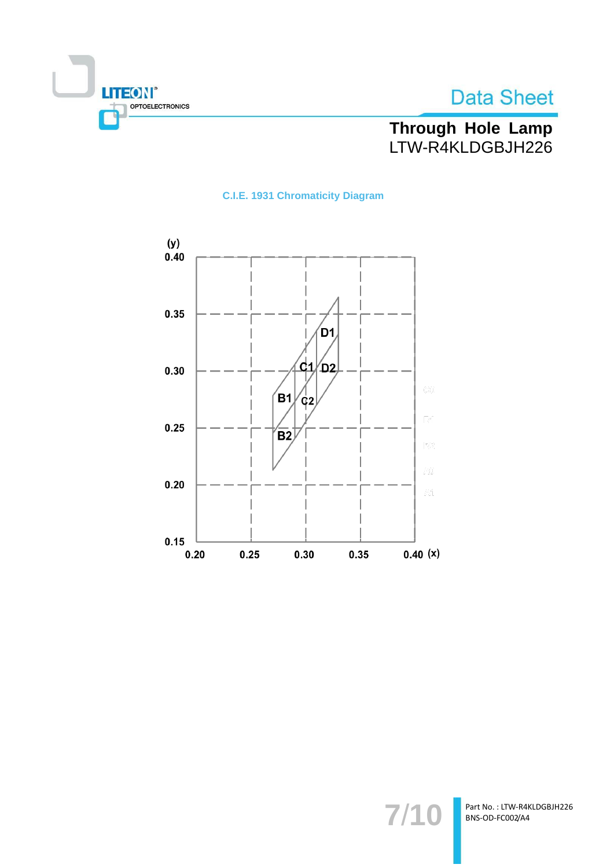



Through Hole Lamp<br>LTW-R4KLDGBJH226

### **C.I.E. 1931 Chromaticity Diagram**



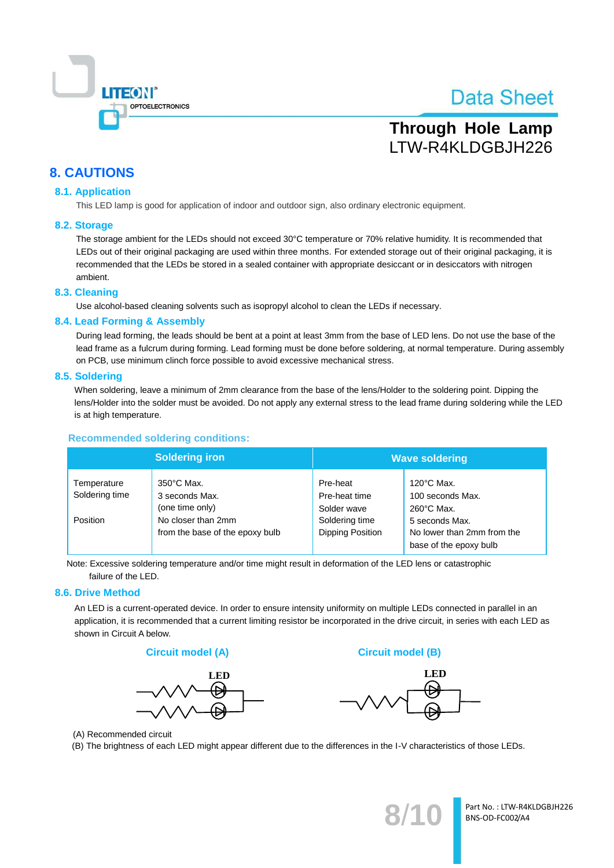

# **Through Hole Lamp** LTW-R4KLDGBJH226

### **8. CAUTIONS**

### **8.1. Application**

This LED lamp is good for application of indoor and outdoor sign, also ordinary electronic equipment.

#### 8.2. Storage

The storage ambient for the LEDs should not exceed 30°C temperature or 70% relative humidity. It is recommended that LEDs out of their original packaging are used within three months. For extended storage out of their original packaging, it is recommended that the LEDs be stored in a sealed container with appropriate desiccant or in desiccators with nitrogen ambient.

### 8.3. Cleaning

Use alcohol-based cleaning solvents such as isopropyl alcohol to clean the LEDs if necessary.

#### 8.4. Lead Forming & Assembly

During lead forming, the leads should be bent at a point at least 3mm from the base of LED lens. Do not use the base of the lead frame as a fulcrum during forming. Lead forming must be done before soldering, at normal temperature. During assembly on PCB, use minimum clinch force possible to avoid excessive mechanical stress.

#### 8.5. Soldering

When soldering, leave a minimum of 2mm clearance from the base of the lens/Holder to the soldering point. Dipping the lens/Holder into the solder must be avoided. Do not apply any external stress to the lead frame during soldering while the LED is at high temperature.

#### **Recommended soldering conditions:**

| <b>Soldering iron</b>         |                                                           | <b>Wave soldering</b>                    |                                                                        |  |
|-------------------------------|-----------------------------------------------------------|------------------------------------------|------------------------------------------------------------------------|--|
| Temperature<br>Soldering time | $350^{\circ}$ C Max.<br>3 seconds Max.<br>(one time only) | Pre-heat<br>Pre-heat time<br>Solder wave | $120^{\circ}$ C Max.<br>100 seconds Max.<br>$260^{\circ}$ C Max.       |  |
| Position                      | No closer than 2mm<br>from the base of the epoxy bulb     | Soldering time<br>Dipping Position       | 5 seconds Max.<br>No lower than 2mm from the<br>base of the epoxy bulb |  |

Note: Excessive soldering temperature and/or time might result in deformation of the LED lens or catastrophic failure of the LED.

#### 8.6. Drive Method

An LED is a current-operated device. In order to ensure intensity uniformity on multiple LEDs connected in parallel in an application, it is recommended that a current limiting resistor be incorporated in the drive circuit, in series with each LED as shown in Circuit A below.





**Circuit model (B)** 



(A) Recommended circuit

(B) The brightness of each LED might appear different due to the differences in the I-V characteristics of those LEDs.

Part No.: LTW-R4KLDGBJH226 BNS-OD-FC002/A4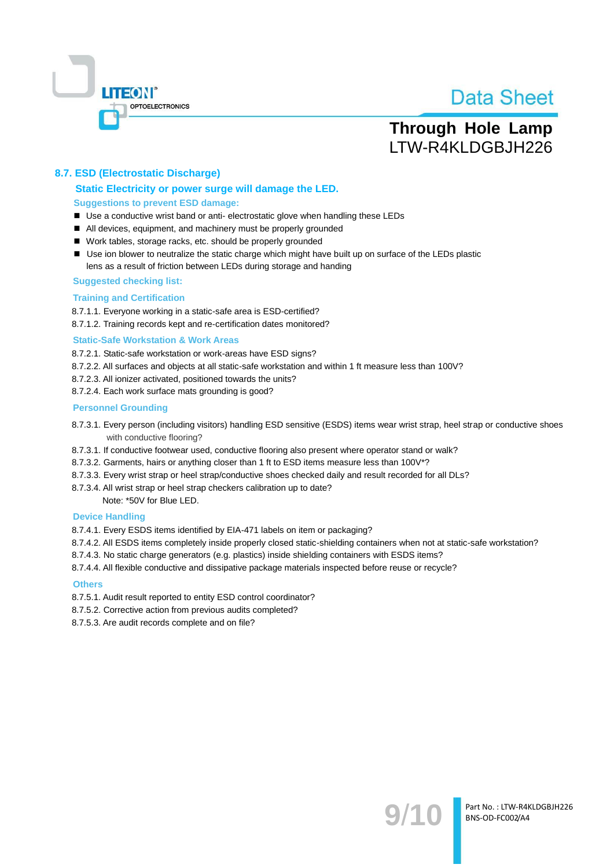

# **Through Hole Lamp** LTW-R4KLDGBJH226

### 8.7. ESD (Electrostatic Discharge)

### Static Electricity or power surge will damage the LED. **Suggestions to prevent ESD damage:**

- Use a conductive wrist band or anti- electrostatic glove when handling these LEDs
- All devices, equipment, and machinery must be properly grounded
- Work tables, storage racks, etc. should be properly grounded
- Use ion blower to neutralize the static charge which might have built up on surface of the LEDs plastic lens as a result of friction between LEDs during storage and handing

#### **Suggested checking list:**

#### **Training and Certification**

8.7.1.1. Everyone working in a static-safe area is ESD-certified?

8.7.1.2. Training records kept and re-certification dates monitored?

#### **Static-Safe Workstation & Work Areas**

8.7.2.1. Static-safe workstation or work-areas have ESD signs?

- 8.7.2.2. All surfaces and objects at all static-safe workstation and within 1 ft measure less than 100V?
- 8.7.2.3. All ionizer activated, positioned towards the units?
- 8.7.2.4. Each work surface mats grounding is good?

#### **Personnel Grounding**

- 8.7.3.1. Every person (including visitors) handling ESD sensitive (ESDS) items wear wrist strap, heel strap or conductive shoes with conductive flooring?
- 8.7.3.1. If conductive footwear used, conductive flooring also present where operator stand or walk?
- 8.7.3.2. Garments, hairs or anything closer than 1 ft to ESD items measure less than 100V\*?
- 8.7.3.3. Every wrist strap or heel strap/conductive shoes checked daily and result recorded for all DLs?
- 8.7.3.4. All wrist strap or heel strap checkers calibration up to date?

Note: \*50V for Blue LED.

#### **Device Handling**

8.7.4.1. Every ESDS items identified by EIA-471 labels on item or packaging?

- 8.7.4.2. All ESDS items completely inside properly closed static-shielding containers when not at static-safe workstation?
- 8.7.4.3. No static charge generators (e.g. plastics) inside shielding containers with ESDS items?
- 8.7.4.4. All flexible conductive and dissipative package materials inspected before reuse or recycle?

#### **Others**

- 8.7.5.1. Audit result reported to entity ESD control coordinator?
- 8.7.5.2. Corrective action from previous audits completed?
- 8.7.5.3. Are audit records complete and on file?